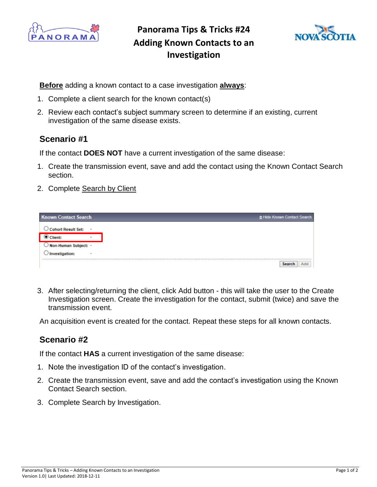

**Panorama Tips & Tricks #24 Adding Known Contacts to an Investigation**



**Before** adding a known contact to a case investigation **always**:

- 1. Complete a client search for the known contact(s)
- 2. Review each contact's subject summary screen to determine if an existing, current investigation of the same disease exists.

## **Scenario #1**

If the contact **DOES NOT** have a current investigation of the same disease:

- 1. Create the transmission event, save and add the contact using the Known Contact Search section.
- 2. Complete Search by Client

| <b>Known Contact Search</b><br>A Hide Known Contact Search |
|------------------------------------------------------------|
|                                                            |
|                                                            |
|                                                            |
|                                                            |
|                                                            |

3. After selecting/returning the client, click Add button - this will take the user to the Create Investigation screen. Create the investigation for the contact, submit (twice) and save the transmission event.

An acquisition event is created for the contact. Repeat these steps for all known contacts.

## **Scenario #2**

If the contact **HAS** a current investigation of the same disease:

- 1. Note the investigation ID of the contact's investigation.
- 2. Create the transmission event, save and add the contact's investigation using the Known Contact Search section.
- 3. Complete Search by Investigation.